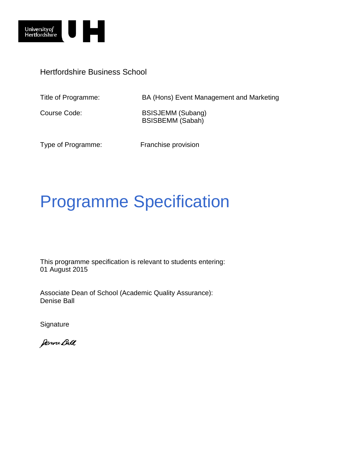

Hertfordshire Business School

Title of Programme: BA (Hons) Event Management and Marketing

Course Code: BSISJEMM (Subang) BSISBEMM (Sabah)

Type of Programme: Franchise provision

# Programme Specification

This programme specification is relevant to students entering: 01 August 2015

Associate Dean of School (Academic Quality Assurance): Denise Ball

**Signature** 

Denne Bell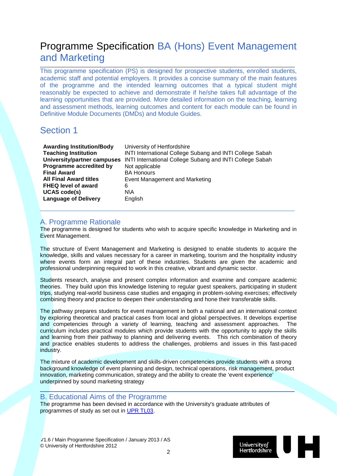## Programme Specification BA (Hons) Event Management and Marketing

This programme specification (PS) is designed for prospective students, enrolled students, academic staff and potential employers. It provides a concise summary of the main features of the programme and the intended learning outcomes that a typical student might reasonably be expected to achieve and demonstrate if he/she takes full advantage of the learning opportunities that are provided. More detailed information on the teaching, learning and assessment methods, learning outcomes and content for each module can be found in Definitive Module Documents (DMDs) and Module Guides.

### Section 1

| <b>Awarding Institution/Body</b> | University of Hertfordshire                              |
|----------------------------------|----------------------------------------------------------|
| <b>Teaching Institution</b>      | INTI International College Subang and INTI College Sabah |
| University/partner campuses      | INTI International College Subang and INTI College Sabah |
| Programme accredited by          | Not applicable                                           |
| <b>Final Award</b>               | <b>BA Honours</b>                                        |
| <b>All Final Award titles</b>    | Event Management and Marketing                           |
| <b>FHEQ level of award</b>       | 6                                                        |
| <b>UCAS code(s)</b>              | N\A                                                      |
| <b>Language of Delivery</b>      | English                                                  |
|                                  |                                                          |

#### A. Programme Rationale

The programme is designed for students who wish to acquire specific knowledge in Marketing and in Event Management.

The structure of Event Management and Marketing is designed to enable students to acquire the knowledge, skills and values necessary for a career in marketing, tourism and the hospitality industry where events form an integral part of these industries. Students are given the academic and professional underpinning required to work in this creative, vibrant and dynamic sector.

Students research, analyse and present complex information and examine and compare academic theories. They build upon this knowledge listening to regular guest speakers, participating in student trips, studying real-world business case studies and engaging in problem-solving exercises; effectively combining theory and practice to deepen their understanding and hone their transferable skills.

The pathway prepares students for event management in both a national and an international context by exploring theoretical and practical cases from local and global perspectives. It develops expertise<br>and competencies through a variety of learning, teaching and assessment approaches. The and competencies through a variety of learning, teaching and assessment approaches. curriculum includes practical modules which provide students with the opportunity to apply the skills and learning from their pathway to planning and delivering events. This rich combination of theory and practice enables students to address the challenges, problems and issues in this fast-paced industry.

The mixture of academic development and skills-driven competencies provide students with a strong background knowledge of event planning and design, technical operations, risk management, product innovation, marketing communication, strategy and the ability to create the 'event experience' underpinned by sound marketing strategy

#### B. Educational Aims of the Programme

The programme has been devised in accordance with the University's graduate attributes of programmes of study as set out in [UPR TL03.](http://sitem.herts.ac.uk/secreg/upr/TL03.htm)

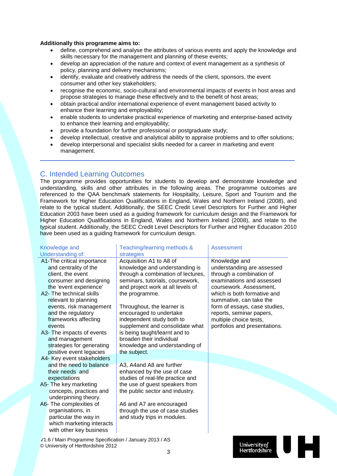#### **Additionally this programme aims to:**

- define, comprehend and analyse the attributes of various events and apply the knowledge and skills necessary for the management and planning of these events;
- develop an appreciation of the nature and context of event management as a synthesis of policy, planning and delivery mechanisms;
- identify, evaluate and creatively address the needs of the client, sponsors, the event consumer and other key stakeholders;
- recognise the economic, socio-cultural and environmental impacts of events in host areas and propose strategies to manage these effectively and to the benefit of host areas;
- obtain practical and/or international experience of event management based activity to enhance their learning and employability;
- enable students to undertake practical experience of marketing and enterprise-based activity to enhance their learning and employability;
- provide a foundation for further professional or postgraduate study;
- develop intellectual, creative and analytical ability to appraise problems and to offer solutions;
- develop interpersonal and specialist skills needed for a career in marketing and event management.

#### C. Intended Learning Outcomes

The programme provides opportunities for students to develop and demonstrate knowledge and understanding, skills and other attributes in the following areas. The programme outcomes are referenced to the QAA benchmark statements for Hospitality, Leisure, Sport and Tourism and the Framework for Higher Education Qualifications in England, Wales and Northern Ireland (2008), and relate to the typical student. Additionally, the SEEC Credit Level Descriptors for Further and Higher Education 2003 have been used as a guiding framework for curriculum design and the Framework for Higher Education Qualifications in England, Wales and Northern Ireland (2008), and relate to the typical student. Additionally, the SEEC Credit Level Descriptors for Further and Higher Education 2010 have been used as a quiding framework for curriculum design.

| Understanding of:<br>strategies<br>A1-The critical importance<br>Acquisition A1 to A8 of<br>Knowledge and<br>knowledge and understanding is<br>and centrality of the<br>understanding are assessed<br>client, the event<br>through a combination of lectures,<br>through a combination of<br>seminars, tutorials, coursework,<br>examinations and assessed<br>consumer and designing<br>the 'event experience'<br>and project work at all levels of<br>coursework. Assessment.<br>A2- The technical skills<br>which is both formative and<br>the programme.<br>relevant to planning<br>summative, can take the<br>events, risk management<br>Throughout, the learner is<br>form of essays, case studies,<br>and the regulatory<br>encouraged to undertake<br>reports, seminar papers, |
|---------------------------------------------------------------------------------------------------------------------------------------------------------------------------------------------------------------------------------------------------------------------------------------------------------------------------------------------------------------------------------------------------------------------------------------------------------------------------------------------------------------------------------------------------------------------------------------------------------------------------------------------------------------------------------------------------------------------------------------------------------------------------------------|
|                                                                                                                                                                                                                                                                                                                                                                                                                                                                                                                                                                                                                                                                                                                                                                                       |
|                                                                                                                                                                                                                                                                                                                                                                                                                                                                                                                                                                                                                                                                                                                                                                                       |
|                                                                                                                                                                                                                                                                                                                                                                                                                                                                                                                                                                                                                                                                                                                                                                                       |
|                                                                                                                                                                                                                                                                                                                                                                                                                                                                                                                                                                                                                                                                                                                                                                                       |
|                                                                                                                                                                                                                                                                                                                                                                                                                                                                                                                                                                                                                                                                                                                                                                                       |
|                                                                                                                                                                                                                                                                                                                                                                                                                                                                                                                                                                                                                                                                                                                                                                                       |
|                                                                                                                                                                                                                                                                                                                                                                                                                                                                                                                                                                                                                                                                                                                                                                                       |
|                                                                                                                                                                                                                                                                                                                                                                                                                                                                                                                                                                                                                                                                                                                                                                                       |
|                                                                                                                                                                                                                                                                                                                                                                                                                                                                                                                                                                                                                                                                                                                                                                                       |
|                                                                                                                                                                                                                                                                                                                                                                                                                                                                                                                                                                                                                                                                                                                                                                                       |
| frameworks affecting<br>independent study both to<br>multiple choice tests,                                                                                                                                                                                                                                                                                                                                                                                                                                                                                                                                                                                                                                                                                                           |
| supplement and consolidate what<br>portfolios and presentations.<br>events                                                                                                                                                                                                                                                                                                                                                                                                                                                                                                                                                                                                                                                                                                            |
| is being taught/learnt and to<br>A3- The impacts of events                                                                                                                                                                                                                                                                                                                                                                                                                                                                                                                                                                                                                                                                                                                            |
| broaden their individual<br>and management                                                                                                                                                                                                                                                                                                                                                                                                                                                                                                                                                                                                                                                                                                                                            |
| strategies for generating<br>knowledge and understanding of                                                                                                                                                                                                                                                                                                                                                                                                                                                                                                                                                                                                                                                                                                                           |
| positive event legacies<br>the subject.                                                                                                                                                                                                                                                                                                                                                                                                                                                                                                                                                                                                                                                                                                                                               |
| A4- Key event stakeholders                                                                                                                                                                                                                                                                                                                                                                                                                                                                                                                                                                                                                                                                                                                                                            |
| and the need to balance<br>A3, A4and A8 are further                                                                                                                                                                                                                                                                                                                                                                                                                                                                                                                                                                                                                                                                                                                                   |
| their needs and<br>enhanced by the use of case                                                                                                                                                                                                                                                                                                                                                                                                                                                                                                                                                                                                                                                                                                                                        |
| studies of real-life practice and<br>expectations                                                                                                                                                                                                                                                                                                                                                                                                                                                                                                                                                                                                                                                                                                                                     |
| the use of guest speakers from<br>A5- The key marketing                                                                                                                                                                                                                                                                                                                                                                                                                                                                                                                                                                                                                                                                                                                               |
| the public sector and industry.<br>concepts, practices and                                                                                                                                                                                                                                                                                                                                                                                                                                                                                                                                                                                                                                                                                                                            |
| underpinning theory.                                                                                                                                                                                                                                                                                                                                                                                                                                                                                                                                                                                                                                                                                                                                                                  |
| A6- The complexities of<br>A6 and A7 are encouraged                                                                                                                                                                                                                                                                                                                                                                                                                                                                                                                                                                                                                                                                                                                                   |
| organisations, in<br>through the use of case studies<br>particular the way in                                                                                                                                                                                                                                                                                                                                                                                                                                                                                                                                                                                                                                                                                                         |
| and study trips in modules.<br>which marketing interacts                                                                                                                                                                                                                                                                                                                                                                                                                                                                                                                                                                                                                                                                                                                              |
| with other key business                                                                                                                                                                                                                                                                                                                                                                                                                                                                                                                                                                                                                                                                                                                                                               |
|                                                                                                                                                                                                                                                                                                                                                                                                                                                                                                                                                                                                                                                                                                                                                                                       |
| V1.6 / Main Programme Specification / January 2013 / AS                                                                                                                                                                                                                                                                                                                                                                                                                                                                                                                                                                                                                                                                                                                               |
| <b>University of</b><br>© University of Hertfordshire 2012<br>Hertfordshire<br>2                                                                                                                                                                                                                                                                                                                                                                                                                                                                                                                                                                                                                                                                                                      |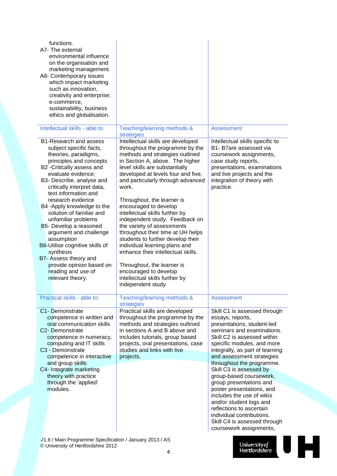| functions.<br>A7- The external<br>environmental influence<br>on the organisation and<br>marketing management.<br>A8- Contemporary issues<br>which impact marketing<br>such as innovation,<br>creativity and enterprise;<br>e-commerce,<br>sustainability, business<br>ethics and globalisation.                                                                                                                                                                                                                                                                   |                                                                                                                                                                                                                                                                                                                                                                                                                                                                                                                                                                                                                                                                                          |                                                                                                                                                                                                                                                                                                                                                                                                                                                                                                                                                                  |
|-------------------------------------------------------------------------------------------------------------------------------------------------------------------------------------------------------------------------------------------------------------------------------------------------------------------------------------------------------------------------------------------------------------------------------------------------------------------------------------------------------------------------------------------------------------------|------------------------------------------------------------------------------------------------------------------------------------------------------------------------------------------------------------------------------------------------------------------------------------------------------------------------------------------------------------------------------------------------------------------------------------------------------------------------------------------------------------------------------------------------------------------------------------------------------------------------------------------------------------------------------------------|------------------------------------------------------------------------------------------------------------------------------------------------------------------------------------------------------------------------------------------------------------------------------------------------------------------------------------------------------------------------------------------------------------------------------------------------------------------------------------------------------------------------------------------------------------------|
| Intellectual skills - able to:                                                                                                                                                                                                                                                                                                                                                                                                                                                                                                                                    | Teaching/learning methods &<br>strategies                                                                                                                                                                                                                                                                                                                                                                                                                                                                                                                                                                                                                                                | <b>Assessment</b>                                                                                                                                                                                                                                                                                                                                                                                                                                                                                                                                                |
| B1-Research and assess<br>subject specific facts,<br>theories, paradigms,<br>principles and concepts<br>B2 - Critically assess and<br>evaluate evidence;<br>B3- Describe, analyse and<br>critically interpret data,<br>text information and<br>research evidence<br>B4 -Apply knowledge to the<br>solution of familiar and<br>unfamiliar problems<br>B5- Develop a reasoned<br>argument and challenge<br>assumption<br>B6-Utilise cognitive skills of<br>synthesis<br>B7- Assess theory and<br>provide opinion based on<br>reading and use of<br>relevant theory. | Intellectual skills are developed<br>throughout the programme by the<br>methods and strategies outlined<br>in Section A, above. The higher<br>level skills are substantially<br>developed at levels four and five,<br>and particularly through advanced<br>work.<br>Throughout, the learner is<br>encouraged to develop<br>intellectual skills further by<br>independent study. Feedback on<br>the variety of assessments<br>throughout their time at UH helps<br>students to further develop their<br>individual learning plans and<br>enhance their intellectual skills.<br>Throughout, the learner is<br>encouraged to develop<br>intellectual skills further by<br>independent study | Intellectual skills specific to<br>B1- B7are assessed via<br>coursework assignments,<br>case study reports,<br>presentations, examinations<br>and live projects and the<br>integration of theory with<br>practice.                                                                                                                                                                                                                                                                                                                                               |
| Practical skills - able to:                                                                                                                                                                                                                                                                                                                                                                                                                                                                                                                                       | Teaching/learning methods &<br>strategies                                                                                                                                                                                                                                                                                                                                                                                                                                                                                                                                                                                                                                                | <b>Assessment</b>                                                                                                                                                                                                                                                                                                                                                                                                                                                                                                                                                |
| C1- Demonstrate<br>competence in written and<br>oral communication skills<br>C <sub>2</sub> - Demonstrate<br>competence in numeracy,<br>computing and IT skills<br>C3 - Demonstrate<br>competence in interactive<br>and group skills<br>C4- Integrate marketing<br>theory with practice<br>through the 'applied'<br>modules.                                                                                                                                                                                                                                      | Practical skills are developed<br>throughout the programme by the<br>methods and strategies outlined<br>in sections A and B above and<br>includes tutorials, group based<br>projects, oral presentations, case<br>studies and links with live<br>projects.                                                                                                                                                                                                                                                                                                                                                                                                                               | Skill C1 is assessed through<br>essays, reports,<br>presentations, student-led<br>seminars and examinations.<br>Skill C2 is assessed within<br>specific modules, and more<br>integrally, as part of learning<br>and assessment strategies<br>throughout the programme.<br>Skill C3 is assessed by<br>group-based coursework,<br>group presentations and<br>poster presentations, and<br>includes the use of wikis<br>and/or student logs and<br>reflections to ascertain<br>individual contributions.<br>Skill C4 is assessed through<br>coursework assignments, |

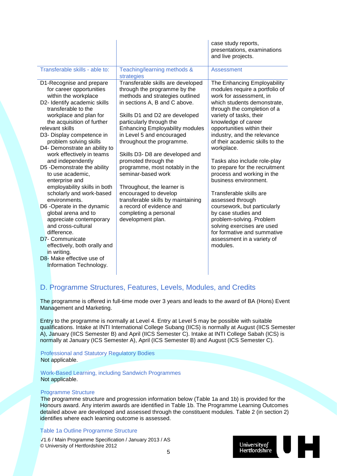|                                                                                                                                                                                                                                                                                                                                                                                                                                                                                                                                                                                                                                                                                                                                |                                                                                                                                                                                                                                                                                                                                                                                                                                                                                                                                                                                                   | case study reports,<br>presentations, examinations<br>and live projects.                                                                                                                                                                                                                                                                                                                                                                                                                                                                                                                                                                                                                 |
|--------------------------------------------------------------------------------------------------------------------------------------------------------------------------------------------------------------------------------------------------------------------------------------------------------------------------------------------------------------------------------------------------------------------------------------------------------------------------------------------------------------------------------------------------------------------------------------------------------------------------------------------------------------------------------------------------------------------------------|---------------------------------------------------------------------------------------------------------------------------------------------------------------------------------------------------------------------------------------------------------------------------------------------------------------------------------------------------------------------------------------------------------------------------------------------------------------------------------------------------------------------------------------------------------------------------------------------------|------------------------------------------------------------------------------------------------------------------------------------------------------------------------------------------------------------------------------------------------------------------------------------------------------------------------------------------------------------------------------------------------------------------------------------------------------------------------------------------------------------------------------------------------------------------------------------------------------------------------------------------------------------------------------------------|
| Transferable skills - able to:                                                                                                                                                                                                                                                                                                                                                                                                                                                                                                                                                                                                                                                                                                 | Teaching/learning methods &<br>strategies                                                                                                                                                                                                                                                                                                                                                                                                                                                                                                                                                         | Assessment                                                                                                                                                                                                                                                                                                                                                                                                                                                                                                                                                                                                                                                                               |
| D1-Recognise and prepare<br>for career opportunities<br>within the workplace<br>D2- Identify academic skills<br>transferable to the<br>workplace and plan for<br>the acquisition of further<br>relevant skills<br>D3- Display competence in<br>problem solving skills<br>D4- Demonstrate an ability to<br>work effectively in teams<br>and independently<br>D5 -Demonstrate the ability<br>to use academic,<br>enterprise and<br>employability skills in both<br>scholarly and work-based<br>environments.<br>D6 -Operate in the dynamic<br>global arena and to<br>appreciate contemporary<br>and cross-cultural<br>difference.<br>D7- Communicate<br>effectively, both orally and<br>in writing.<br>D8- Make effective use of | Transferable skills are developed<br>through the programme by the<br>methods and strategies outlined<br>in sections A, B and C above.<br>Skills D1 and D2 are developed<br>particularly through the<br><b>Enhancing Employability modules</b><br>in Level 5 and encouraged<br>throughout the programme.<br>Skills D3- D8 are developed and<br>promoted through the<br>programme, most notably in the<br>seminar-based work<br>Throughout, the learner is<br>encouraged to develop<br>transferable skills by maintaining<br>a record of evidence and<br>completing a personal<br>development plan. | The Enhancing Employability<br>modules require a portfolio of<br>work for assessment, in<br>which students demonstrate,<br>through the completion of a<br>variety of tasks, their<br>knowledge of career<br>opportunities within their<br>industry, and the relevance<br>of their academic skills to the<br>workplace.<br>Tasks also include role-play<br>to prepare for the recruitment<br>process and working in the<br>business environment.<br>Transferable skills are<br>assessed through<br>coursework, but particularly<br>by case studies and<br>problem-solving. Problem<br>solving exercises are used<br>for formative and summative<br>assessment in a variety of<br>modules. |
| Information Technology.                                                                                                                                                                                                                                                                                                                                                                                                                                                                                                                                                                                                                                                                                                        |                                                                                                                                                                                                                                                                                                                                                                                                                                                                                                                                                                                                   |                                                                                                                                                                                                                                                                                                                                                                                                                                                                                                                                                                                                                                                                                          |

### D. Programme Structures, Features, Levels, Modules, and Credits

The programme is offered in full-time mode over 3 years and leads to the award of BA (Hons) Event Management and Marketing.

Entry to the programme is normally at Level 4. Entry at Level 5 may be possible with suitable qualifications. Intake at INTI International College Subang (IICS) is normally at August (IICS Semester A), January (IICS Semester B) and April (IICS Semester C). Intake at INTI College Sabah (ICS) is normally at January (ICS Semester A), April (ICS Semester B) and August (ICS Semester C).

#### Professional and Statutory Regulatory Bodies Not applicable.

Work-Based Learning, including Sandwich Programmes Not applicable.

#### Programme Structure

The programme structure and progression information below (Table 1a and 1b) is provided for the Honours award. Any interim awards are identified in Table 1b. The Programme Learning Outcomes detailed above are developed and assessed through the constituent modules. Table 2 (in section 2) identifies where each learning outcome is assessed.

#### Table 1a Outline Programme Structure

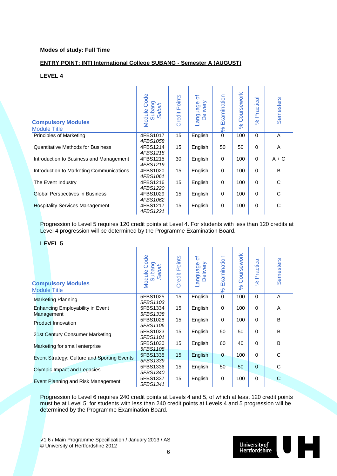#### **Modes of study: Full Time**

#### **ENTRY POINT: INTI International College SUBANG - Semester A (AUGUST)**

#### **LEVEL 4**

| <b>Compulsory Modules</b><br><b>Module Title</b> | Code<br>Subang<br>Sabah<br>Module | <b>Credit Points</b> | ð<br>anguage<br>Delivery | Examination<br>$\aleph$ | Coursework<br>$\aleph$ | Practical<br>$\%$ | <b>Semesters</b> |
|--------------------------------------------------|-----------------------------------|----------------------|--------------------------|-------------------------|------------------------|-------------------|------------------|
| <b>Principles of Marketing</b>                   | 4FBS1017<br>4FBS1058              | 15                   | English                  | $\mathbf 0$             | 100                    | $\Omega$          | A                |
| Quantitative Methods for Business                | 4FBS1214<br>4FBS1218              | 15                   | English                  | 50                      | 50                     | $\Omega$          | A                |
| Introduction to Business and Management          | 4FBS1215<br>4FBS1219              | 30                   | English                  | 0                       | 100                    | $\Omega$          | $A + C$          |
| Introduction to Marketing Communications         | 4FBS1020<br>4FBS1061              | 15                   | English                  | $\mathbf 0$             | 100                    | $\Omega$          | B                |
| The Event Industry                               | 4FBS1216<br>4FBS1220              | 15                   | English                  | $\mathbf 0$             | 100                    | $\Omega$          | C                |
| <b>Global Perspectives in Business</b>           | 4FBS1029<br>4FBS1062              | 15                   | English                  | 0                       | 100                    | 0                 | C                |
| <b>Hospitality Services Management</b>           | 4FBS1217<br>4FBS1221              | 15                   | English                  | 0                       | 100                    | 0                 | C                |

Progression to Level 5 requires 120 credit points at Level 4. For students with less than 120 credits at Level 4 progression will be determined by the Programme Examination Board.

#### **LEVEL 5**

| <b>Compulsory Modules</b><br><b>Module Title</b>      | Code<br>ဥ<br>Sabah<br><b>Subai</b><br>Module | <b>Credit Points</b> | ð<br>anguage<br>Delivery | Examination<br>$\aleph$ | Coursework<br>$\aleph$ | Practical<br>$\aleph$ | <b>Semesters</b> |
|-------------------------------------------------------|----------------------------------------------|----------------------|--------------------------|-------------------------|------------------------|-----------------------|------------------|
| <b>Marketing Planning</b>                             | 5FBS1025<br>5FBS1103                         | 15                   | English                  | $\Omega$                | 100                    | $\Omega$              | A                |
| <b>Enhancing Employability in Event</b><br>Management | 5FBS1334<br>5FBS1338                         | 15                   | English                  | $\Omega$                | 100                    | $\Omega$              | A                |
| <b>Product Innovation</b>                             | 5FBS1028<br>5FBS1106                         | 15                   | English                  | $\Omega$                | 100                    | $\Omega$              | B                |
| 21st Century Consumer Marketing                       | 5FBS1023<br>5FBS1101                         | 15                   | English                  | 50                      | 50                     | $\mathbf 0$           | B                |
| Marketing for small enterprise                        | 5FBS1030<br>5FBS1108                         | 15                   | English                  | 60                      | 40                     | 0                     | B                |
| Event Strategy: Culture and Sporting Events           | 5FBS1335                                     | 15                   | English                  | $\mathbf 0$             | 100                    | $\Omega$              | C                |
| Olympic Impact and Legacies                           | 5FBS1339<br>5FBS1336<br>5FBS1340             | 15                   | English                  | 50                      | 50                     | $\mathbf{0}$          | C                |
| Event Planning and Risk Management                    | 5FBS1337<br>5FBS1341                         | 15                   | English                  | 0                       | 100                    | $\mathbf 0$           | C                |

Progression to Level 6 requires 240 credit points at Levels 4 and 5, of which at least 120 credit points must be at Level 5; for students with less than 240 credit points at Levels 4 and 5 progression will be determined by the Programme Examination Board.

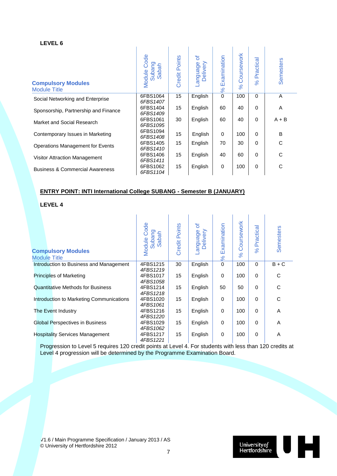| <b>Compulsory Modules</b><br><b>Module Title</b> | Code<br>Subang<br>Sabah<br>Module | <b>Credit Points</b> | ৳<br>Delivery<br>appenbue- | Examination<br>$\infty$ | Coursework<br>$\aleph$ | ctical<br>ē<br>$\mathbf{a}$<br>$\aleph$ | Semesters |
|--------------------------------------------------|-----------------------------------|----------------------|----------------------------|-------------------------|------------------------|-----------------------------------------|-----------|
| Social Networking and Enterprise                 | 6FBS1064<br>6FBS1407              | 15                   | English                    | 0                       | 100                    | $\Omega$                                | A         |
| Sponsorship, Partnership and Finance             | 6FBS1404<br>6FBS1409              | 15                   | English                    | 60                      | 40                     | $\Omega$                                | A         |
| Market and Social Research                       | 6FBS1061<br>6FBS1095              | 30                   | English                    | 60                      | 40                     | $\Omega$                                | $A + B$   |
| Contemporary Issues in Marketing                 | 6FBS1094<br>6FBS1408              | 15                   | English                    | $\Omega$                | 100                    | $\Omega$                                | B         |
| <b>Operations Management for Events</b>          | 6FBS1405<br>6FBS1410              | 15                   | English                    | 70                      | 30                     | $\Omega$                                | С         |
| Visitor Attraction Management                    | 6FBS1406<br>6FBS1411              | 15                   | English                    | 40                      | 60                     | $\Omega$                                | С         |
| <b>Business &amp; Commercial Awareness</b>       | 6FBS1062<br>6FBS1104              | 15                   | English                    | 0                       | 100                    | $\Omega$                                | С         |

#### **ENTRY POINT: INTI International College SUBANG - Semester B (JANUARY)**

**LEVEL 4**

| <b>Compulsory Modules</b><br><b>Module Title</b> | Code<br>Subang<br>Sabah<br>Module | <b>Credit Points</b> | ð<br>anguage<br>Delivery | Examination<br>$\frac{8}{3}$ | Coursework<br>$\aleph$ | Practical<br>$\aleph$ | <b>Semesters</b> |
|--------------------------------------------------|-----------------------------------|----------------------|--------------------------|------------------------------|------------------------|-----------------------|------------------|
| Introduction to Business and Management          | 4FBS1215<br>4FBS1219              | 30                   | English                  | $\mathbf 0$                  | 100                    | $\Omega$              | $B + C$          |
| <b>Principles of Marketing</b>                   | 4FBS1017<br>4FBS1058              | 15                   | English                  | $\mathbf 0$                  | 100                    | $\Omega$              | C                |
| <b>Quantitative Methods for Business</b>         | 4FBS1214<br>4FBS1218              | 15                   | English                  | 50                           | 50                     | $\Omega$              | C                |
| Introduction to Marketing Communications         | 4FBS1020<br>4FBS1061              | 15                   | English                  | 0                            | 100                    | 0                     | C                |
| The Event Industry                               | 4FBS1216<br>4FBS1220              | 15                   | English                  | $\mathbf 0$                  | 100                    | $\Omega$              | A                |
| Global Perspectives in Business                  | 4FBS1029<br>4FBS1062              | 15                   | English                  | 0                            | 100                    | $\Omega$              | A                |
| <b>Hospitality Services Management</b>           | 4FBS1217<br>4FBS1221              | 15                   | English                  | 0                            | 100                    | 0                     | A                |

Progression to Level 5 requires 120 credit points at Level 4. For students with less than 120 credits at Level 4 progression will be determined by the Programme Examination Board.

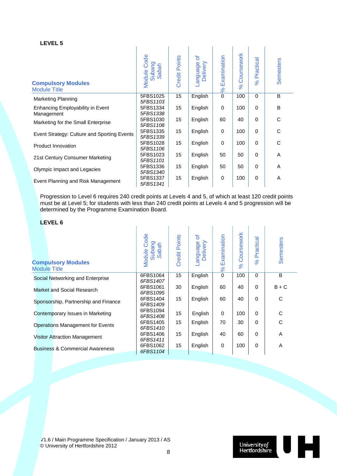| <b>Compulsory Modules</b><br><b>Module Title</b> | Code<br>Subang<br>Sabah<br>Module | <b>Credit Points</b> | ৳<br>anguage-<br>Delivery | Examination<br>$\frac{8}{6}$ | Coursework<br>$\aleph$ | Practical<br>$\%$ | Semesters |
|--------------------------------------------------|-----------------------------------|----------------------|---------------------------|------------------------------|------------------------|-------------------|-----------|
| <b>Marketing Planning</b>                        | 5FBS1025<br>5FBS1103              | 15                   | English                   | $\mathbf 0$                  | 100                    | $\Omega$          | B         |
| Enhancing Employability in Event<br>Management   | 5FBS1334<br>5FBS1338              | 15                   | English                   | 0                            | 100                    | $\Omega$          | B         |
| Marketing for the Small Enterprise               | 5FBS1030<br>5FBS1108              | 15                   | English                   | 60                           | 40                     | $\Omega$          | C         |
| Event Strategy: Culture and Sporting Events      | 5FBS1335<br>5FBS1339              | 15                   | English                   | $\mathbf 0$                  | 100                    | $\Omega$          | C         |
| Product Innovation                               | 5FBS1028<br>5FBS1106              | 15                   | English                   | $\mathbf 0$                  | 100                    | $\mathbf 0$       | C         |
| 21st Century Consumer Marketing                  | 5FBS1023<br>5FBS1101              | 15                   | English                   | 50                           | 50                     | $\mathbf 0$       | A         |
| Olympic Impact and Legacies                      | 5FBS1336<br>5FBS1340              | 15                   | English                   | 50                           | 50                     | 0                 | A         |
| Event Planning and Risk Management               | 5FBS1337<br>5FBS1341              | 15                   | English                   | 0                            | 100                    | $\mathbf 0$       | A         |

Progression to Level 6 requires 240 credit points at Levels 4 and 5, of which at least 120 credit points must be at Level 5; for students with less than 240 credit points at Levels 4 and 5 progression will be determined by the Programme Examination Board.

#### **LEVEL 6**

| <b>Compulsory Modules</b><br><b>Module Title</b> | Code<br>Subang<br>Saba<br>Module | <b>Credit Points</b> | ৳<br>anguage<br>Delivery | Examination<br>8 <sup>o</sup> | Coursework<br>$\aleph$ | Practical<br>$\%$ | <b>Semesters</b> |
|--------------------------------------------------|----------------------------------|----------------------|--------------------------|-------------------------------|------------------------|-------------------|------------------|
| Social Networking and Enterprise                 | 6FBS1064<br>6FBS1407             | 15                   | English                  | $\mathbf 0$                   | 100                    | $\Omega$          | B                |
| Market and Social Research                       | 6FBS1061<br>6FBS1095             | 30                   | English                  | 60                            | 40                     | $\Omega$          | $B + C$          |
| Sponsorship, Partnership and Finance             | 6FBS1404<br>6FBS1409             | 15                   | English                  | 60                            | 40                     | $\Omega$          | C                |
| Contemporary Issues in Marketing                 | 6FBS1094<br>6FBS1408             | 15                   | English                  | $\Omega$                      | 100                    | $\Omega$          | C                |
| <b>Operations Management for Events</b>          | 6FBS1405<br>6FBS1410             | 15                   | English                  | 70                            | 30                     | 0                 | C                |
| <b>Visitor Attraction Management</b>             | 6FBS1406<br>6FBS1411             | 15                   | English                  | 40                            | 60                     | $\Omega$          | A                |
| <b>Business &amp; Commercial Awareness</b>       | 6FBS1062<br>6FBS1104             | 15                   | English                  | $\mathbf 0$                   | 100                    | $\Omega$          | A                |

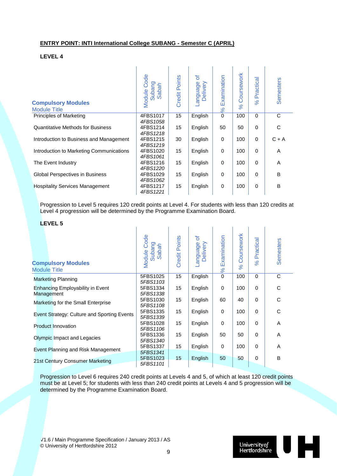#### **ENTRY POINT: INTI International College SUBANG - Semester C (APRIL)**

#### **LEVEL 4**

| <b>Compulsory Modules</b><br><b>Module Title</b> | Code<br>Subang<br><b>Sabah</b><br>Module | <b>Credit Points</b> | ৳<br>Delivery<br>anguage | Examination<br>$\frac{8}{3}$ | Coursework<br>8 <sup>o</sup> | Practical<br>$\%$ | Semesters |
|--------------------------------------------------|------------------------------------------|----------------------|--------------------------|------------------------------|------------------------------|-------------------|-----------|
| Principles of Marketing                          | 4FBS1017<br>4FBS1058                     | 15                   | English                  | $\mathbf 0$                  | 100                          | $\mathbf 0$       | C         |
| <b>Quantitative Methods for Business</b>         | 4FBS1214<br>4FBS1218                     | 15                   | English                  | 50                           | 50                           | $\mathbf 0$       | C         |
| Introduction to Business and Management          | 4FBS1215<br>4FBS1219                     | 30                   | English                  | 0                            | 100                          | 0                 | $C + A$   |
| Introduction to Marketing Communications         | 4FBS1020<br>4FBS1061                     | 15                   | English                  | $\mathbf 0$                  | 100                          | 0                 | A         |
| The Event Industry                               | 4FBS1216<br>4FBS1220                     | 15                   | English                  | $\mathbf 0$                  | 100                          | $\mathbf 0$       | A         |
| Global Perspectives in Business                  | 4FBS1029<br>4FBS1062                     | 15                   | English                  | $\mathbf 0$                  | 100                          | $\mathbf 0$       | B         |
| <b>Hospitality Services Management</b>           | 4FBS1217<br>4FBS1221                     | 15                   | English                  | 0                            | 100                          | 0                 | B         |

Progression to Level 5 requires 120 credit points at Level 4. For students with less than 120 credits at Level 4 progression will be determined by the Programme Examination Board.

#### **LEVEL 5**

| <b>Compulsory Modules</b><br><b>Module Title</b>      | <b>Module Code</b><br>Subang<br>Sabah | Credit Points | ð<br>anguage<br>Delivery | Examination<br>$\frac{8}{5}$ | Coursework<br>8 <sup>o</sup> | Practical<br>$\aleph$ | <b>Semesters</b> |
|-------------------------------------------------------|---------------------------------------|---------------|--------------------------|------------------------------|------------------------------|-----------------------|------------------|
| <b>Marketing Planning</b>                             | 5FBS1025<br>5FBS1103                  | 15            | English                  | $\mathbf 0$                  | 100                          | $\Omega$              | C                |
| <b>Enhancing Employability in Event</b><br>Management | 5FBS1334<br>5FBS1338                  | 15            | English                  | $\mathbf 0$                  | 100                          | $\Omega$              | C                |
| Marketing for the Small Enterprise                    | 5FBS1030<br>5FBS1108                  | 15            | English                  | 60                           | 40                           | $\Omega$              | C                |
| Event Strategy: Culture and Sporting Events           | 5FBS1335<br>5FBS1339                  | 15            | English                  | $\mathbf 0$                  | 100                          | $\Omega$              | C                |
| <b>Product Innovation</b>                             | 5FBS1028<br>5FBS1106                  | 15            | English                  | $\mathbf 0$                  | 100                          | $\Omega$              | A                |
| Olympic Impact and Legacies                           | 5FBS1336<br>5FBS1340                  | 15            | English                  | 50                           | 50                           | $\Omega$              | A                |
| Event Planning and Risk Management                    | 5FBS1337                              | 15            | English                  | 0                            | 100                          | $\Omega$              | A                |
| 21st Century Consumer Marketing                       | 5FBS1341<br>5FBS1023<br>5FBS1101      | 15            | English                  | 50                           | 50                           | $\Omega$              | B                |

Progression to Level 6 requires 240 credit points at Levels 4 and 5, of which at least 120 credit points must be at Level 5; for students with less than 240 credit points at Levels 4 and 5 progression will be determined by the Programme Examination Board.

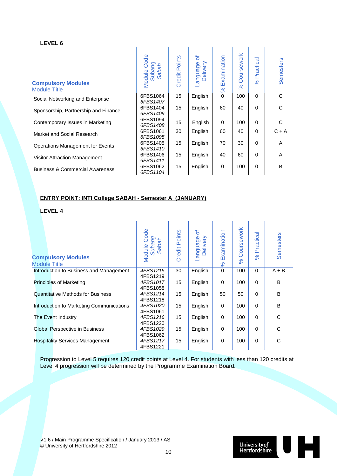| <b>Compulsory Modules</b><br>Module Title  | Code<br>Subang<br>Sabah<br>Module | <b>Credit Points</b> | ৳<br>Delivery<br>-anguage | Examination<br>$\frac{8}{3}$ | Coursework<br>8 <sup>o</sup> | Practical<br>$\aleph$ | Semesters |
|--------------------------------------------|-----------------------------------|----------------------|---------------------------|------------------------------|------------------------------|-----------------------|-----------|
| Social Networking and Enterprise           | 6FBS1064<br>6FBS1407              | 15                   | English                   | 0                            | 100                          | $\Omega$              | C         |
| Sponsorship, Partnership and Finance       | 6FBS1404<br>6FBS1409              | 15                   | English                   | 60                           | 40                           | $\Omega$              | C         |
| Contemporary Issues in Marketing           | 6FBS1094<br>6FBS1408              | 15                   | English                   | $\mathbf 0$                  | 100                          | $\Omega$              | C         |
| Market and Social Research                 | 6FBS1061<br>6FBS1095              | 30                   | English                   | 60                           | 40                           | $\Omega$              | $C + A$   |
| <b>Operations Management for Events</b>    | 6FBS1405<br>6FBS1410              | 15                   | English                   | 70                           | 30                           | $\Omega$              | A         |
| Visitor Attraction Management              | 6FBS1406<br>6FBS1411              | 15                   | English                   | 40                           | 60                           | $\Omega$              | A         |
| <b>Business &amp; Commercial Awareness</b> | 6FBS1062<br>6FBS1104              | 15                   | English                   | 0                            | 100                          | $\Omega$              | B         |

#### **ENTRY POINT: INTI College SABAH - Semester A (JANUARY)**

**LEVEL 4**

| <b>Compulsory Modules</b><br><b>Module Title</b> | Module Code<br>Subang<br>Sabah   | <b>Credit Points</b> | ৳<br>Delivery<br>-anguage | Examination<br>$\frac{8}{6}$ | oursework<br>Ō<br>$\aleph$ | Practical<br>$\%$ | Semesters |
|--------------------------------------------------|----------------------------------|----------------------|---------------------------|------------------------------|----------------------------|-------------------|-----------|
| Introduction to Business and Management          | 4FBS1215                         | 30                   | English                   | $\mathbf 0$                  | 100                        | 0                 | $A + B$   |
| <b>Principles of Marketing</b>                   | 4FBS1219<br>4FBS1017<br>4FBS1058 | 15                   | English                   | $\mathbf 0$                  | 100                        | 0                 | B         |
| <b>Quantitative Methods for Business</b>         | 4FBS1214                         | 15                   | English                   | 50                           | 50                         | 0                 | B         |
| Introduction to Marketing Communications         | 4FBS1218<br>4FBS1020<br>4FBS1061 | 15                   | English                   | $\mathbf 0$                  | 100                        | 0                 | B         |
| The Event Industry                               | 4FBS1216                         | 15                   | English                   | $\mathbf 0$                  | 100                        | 0                 | C         |
| Global Perspective in Business                   | 4FBS1220<br>4FBS1029             | 15                   | English                   | $\mathbf 0$                  | 100                        | 0                 | C         |
| <b>Hospitality Services Management</b>           | 4FBS1062<br>4FBS1217<br>4FBS1221 | 15                   | English                   | $\mathbf 0$                  | 100                        | 0                 | C         |

Progression to Level 5 requires 120 credit points at Level 4. For students with less than 120 credits at Level 4 progression will be determined by the Programme Examination Board.

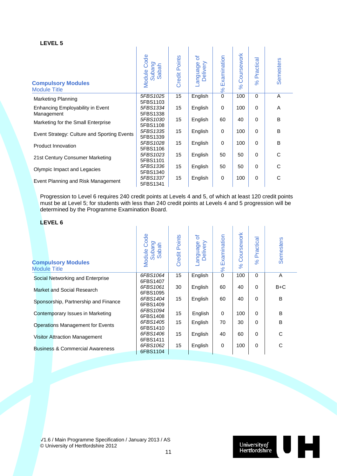| <b>Compulsory Modules</b><br><b>Module Title</b> | Code<br>Subang<br>Sabah<br>Module | <b>Credit Points</b> | ৳<br>anguage-<br>Delivery | Examination<br>$\frac{8}{3}$ | Coursework<br>$\aleph$ | Practical<br>8 <sup>o</sup> | Semesters |
|--------------------------------------------------|-----------------------------------|----------------------|---------------------------|------------------------------|------------------------|-----------------------------|-----------|
| <b>Marketing Planning</b>                        | 5FBS1025<br>5FBS1103              | 15                   | English                   | $\mathbf 0$                  | 100                    | $\Omega$                    | A         |
| Enhancing Employability in Event<br>Management   | 5FBS1334<br>5FBS1338              | 15                   | English                   | 0                            | 100                    | $\Omega$                    | A         |
| Marketing for the Small Enterprise               | 5FBS1030<br>5FBS1108              | 15                   | English                   | 60                           | 40                     | $\Omega$                    | B         |
| Event Strategy: Culture and Sporting Events      | 5FBS1335<br>5FBS1339              | 15                   | English                   | $\mathbf 0$                  | 100                    | $\Omega$                    | B         |
| Product Innovation                               | 5FBS1028<br>5FBS1106              | 15                   | English                   | $\mathbf 0$                  | 100                    | $\mathbf 0$                 | B         |
| 21st Century Consumer Marketing                  | 5FBS1023<br>5FBS1101              | 15                   | English                   | 50                           | 50                     | $\mathbf 0$                 | C         |
| Olympic Impact and Legacies                      | 5FBS1336<br>5FBS1340              | 15                   | English                   | 50                           | 50                     | 0                           | C         |
| Event Planning and Risk Management               | 5FBS1337<br>5FBS1341              | 15                   | English                   | 0                            | 100                    | $\mathbf 0$                 | C         |

Progression to Level 6 requires 240 credit points at Levels 4 and 5, of which at least 120 credit points must be at Level 5; for students with less than 240 credit points at Levels 4 and 5 progression will be determined by the Programme Examination Board.

#### **LEVEL 6**

| <b>Compulsory Modules</b><br><b>Module Title</b> | Code<br>Subang<br>dbah<br>Module<br>S | <b>Credit Points</b> | ৳<br>anguage<br>Delivery | Examination<br>8 <sup>o</sup> | Coursework<br>$\aleph$ | Practical<br>$\%$ | <b>Semesters</b> |
|--------------------------------------------------|---------------------------------------|----------------------|--------------------------|-------------------------------|------------------------|-------------------|------------------|
| Social Networking and Enterprise                 | 6FBS1064<br>6FBS1407                  | 15                   | English                  | $\mathbf 0$                   | 100                    | $\Omega$          | A                |
| Market and Social Research                       | 6FBS1061<br>6FBS1095                  | 30                   | English                  | 60                            | 40                     | $\Omega$          | $B+C$            |
| Sponsorship, Partnership and Finance             | 6FBS1404<br>6FBS1409                  | 15                   | English                  | 60                            | 40                     | $\Omega$          | B                |
| Contemporary Issues in Marketing                 | 6FBS1094<br>6FBS1408                  | 15                   | English                  | $\Omega$                      | 100                    | $\Omega$          | B                |
| <b>Operations Management for Events</b>          | 6FBS1405<br>6FBS1410                  | 15                   | English                  | 70                            | 30                     | 0                 | B                |
| <b>Visitor Attraction Management</b>             | 6FBS1406<br>6FBS1411                  | 15                   | English                  | 40                            | 60                     | $\Omega$          | C                |
| <b>Business &amp; Commercial Awareness</b>       | 6FBS1062                              | 15                   | English                  | $\mathbf 0$                   | 100                    | $\Omega$          | C                |
|                                                  | 6FBS1104                              |                      |                          |                               |                        |                   |                  |

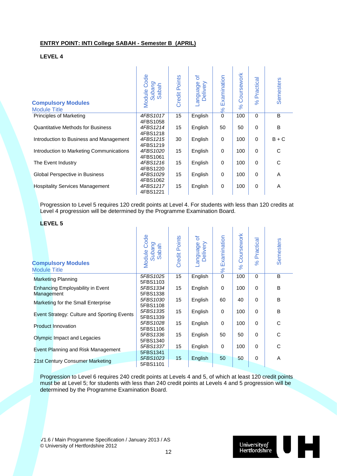#### **ENTRY POINT: INTI College SABAH - Semester B (APRIL)**

#### **LEVEL 4**

| <b>Compulsory Modules</b><br><b>Module Title</b> | Code<br>Subang<br>Sabah<br>Module | Points<br>Credit I | ъ<br>Delivery<br>appenbue- | Examination<br>$\frac{8}{5}$ | Coursework<br>$\aleph$ | Practical<br>$\%$ | Semesters |
|--------------------------------------------------|-----------------------------------|--------------------|----------------------------|------------------------------|------------------------|-------------------|-----------|
| Principles of Marketing                          | 4FBS1017                          | 15                 | English                    | $\mathbf 0$                  | 100                    | $\Omega$          | B         |
| <b>Quantitative Methods for Business</b>         | 4FBS1058<br>4FBS1214<br>4FBS1218  | 15                 | English                    | 50                           | 50                     | $\Omega$          | B         |
| Introduction to Business and Management          | 4FBS1215<br>4FBS1219              | 30                 | English                    | $\mathbf 0$                  | 100                    | $\Omega$          | $B + C$   |
| Introduction to Marketing Communications         | 4FBS1020                          | 15                 | English                    | $\mathbf 0$                  | 100                    | 0                 | C         |
| The Event Industry                               | 4FBS1061<br>4FBS1216              | 15                 | English                    | $\mathbf 0$                  | 100                    | $\Omega$          | С         |
| Global Perspective in Business                   | 4FBS1220<br>4FBS1029              | 15                 | English                    | $\mathbf 0$                  | 100                    | 0                 | Α         |
| <b>Hospitality Services Management</b>           | 4FBS1062<br>4FBS1217<br>4FBS1221  | 15                 | English                    | 0                            | 100                    | 0                 | A         |

Progression to Level 5 requires 120 credit points at Level 4. For students with less than 120 credits at Level 4 progression will be determined by the Programme Examination Board.

#### **LEVEL 5**

| <b>Compulsory Modules</b><br><b>Module Title</b> | <b>Module Code</b><br>Subang<br>Sabah | Credit Points | ð<br>anguage<br>Delivery | Examination<br>$\frac{8}{6}$ | Coursework<br>$\aleph$ | Practical<br>$\aleph$ | <b>Semesters</b> |
|--------------------------------------------------|---------------------------------------|---------------|--------------------------|------------------------------|------------------------|-----------------------|------------------|
| <b>Marketing Planning</b>                        | 5FBS1025<br>5FBS1103                  | 15            | English                  | 0                            | 100                    | $\Omega$              | B                |
| Enhancing Employability in Event<br>Management   | 5FBS1334<br>5FBS1338                  | 15            | English                  | $\Omega$                     | 100                    | $\Omega$              | B                |
| Marketing for the Small Enterprise               | 5FBS1030<br>5FBS1108                  | 15            | English                  | 60                           | 40                     | $\Omega$              | B                |
| Event Strategy: Culture and Sporting Events      | 5FBS1335<br>5FBS1339                  | 15            | English                  | $\mathbf 0$                  | 100                    | $\mathbf 0$           | B                |
| <b>Product Innovation</b>                        | 5FBS1028<br>5FBS1106                  | 15            | English                  | $\mathbf 0$                  | 100                    | $\Omega$              | $\mathsf C$      |
| Olympic Impact and Legacies                      | 5FBS1336<br>5FBS1340                  | 15            | English                  | 50                           | 50                     | $\mathbf 0$           | C                |
| Event Planning and Risk Management               | 5FBS1337<br>5FBS1341                  | 15            | English                  | 0                            | 100                    | $\mathbf 0$           | C                |
| 21st Century Consumer Marketing                  | 5FBS1023<br>5FBS1101                  | 15            | English                  | 50                           | 50                     | 0                     | A                |

Progression to Level 6 requires 240 credit points at Levels 4 and 5, of which at least 120 credit points must be at Level 5; for students with less than 240 credit points at Levels 4 and 5 progression will be determined by the Programme Examination Board.

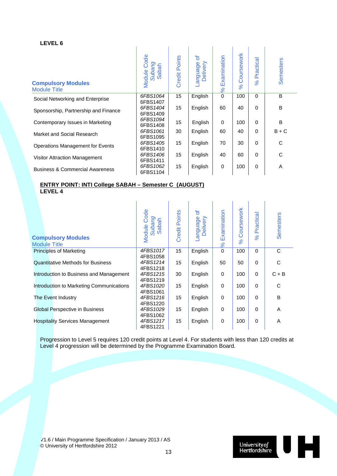| <b>Compulsory Modules</b><br><b>Module Title</b> | Code<br>Subang<br>Sabah<br>Module | <b>Credit Points</b> | ৳<br>-anguage<br>Delivery | Examination<br>$\infty$ | Coursework<br>$\aleph$ | Practica<br>8 <sup>o</sup> | Semesters |
|--------------------------------------------------|-----------------------------------|----------------------|---------------------------|-------------------------|------------------------|----------------------------|-----------|
| Social Networking and Enterprise                 | 6FBS1064<br>6FBS1407              | 15                   | English                   | 0                       | 100                    | $\Omega$                   | B         |
| Sponsorship, Partnership and Finance             | 6FBS1404<br>6FBS1409              | 15                   | English                   | 60                      | 40                     | $\Omega$                   | B         |
| Contemporary Issues in Marketing                 | 6FBS1094<br>6FBS1408              | 15                   | English                   | $\Omega$                | 100                    | $\Omega$                   | B         |
| Market and Social Research                       | 6FBS1061                          | 30                   | English                   | 60                      | 40                     | $\Omega$                   | $B + C$   |
| <b>Operations Management for Events</b>          | 6FBS1095<br>6FBS1405<br>6FBS1410  | 15                   | English                   | 70                      | 30                     | $\Omega$                   | С         |
| Visitor Attraction Management                    | 6FBS1406<br>6FBS1411              | 15                   | English                   | 40                      | 60                     | $\Omega$                   | С         |
| <b>Business &amp; Commercial Awareness</b>       | 6FBS1062<br>6FBS1104              | 15                   | English                   | 0                       | 100                    | $\mathbf 0$                | Α         |

#### **ENTRY POINT: INTI College SABAH – Semester C (AUGUST) LEVEL 4**

| <b>Compulsory Modules</b><br><b>Module Title</b> | Code<br>Subang<br>Sabah<br>Module | <b>Credit Points</b> | ð<br>appugua-<br>Delivery | Examination<br>$\aleph$ | Coursework<br>$\aleph$ | Practical<br>$\aleph$ | <b>Semesters</b> |
|--------------------------------------------------|-----------------------------------|----------------------|---------------------------|-------------------------|------------------------|-----------------------|------------------|
| <b>Principles of Marketing</b>                   | 4FBS1017<br>4FBS1058              | 15                   | English                   | $\mathbf 0$             | 100                    | $\Omega$              | C                |
| <b>Quantitative Methods for Business</b>         | 4FBS1214<br>4FBS1218              | 15                   | English                   | 50                      | 50                     | $\Omega$              | C                |
| Introduction to Business and Management          | 4FBS1215<br>4FBS1219              | 30                   | English                   | $\Omega$                | 100                    | $\Omega$              | $C + B$          |
| Introduction to Marketing Communications         | 4FBS1020                          | 15                   | English                   | 0                       | 100                    | $\Omega$              | C                |
| The Event Industry                               | 4FBS1061<br>4FBS1216              | 15                   | English                   | 0                       | 100                    | $\Omega$              | B                |
| <b>Global Perspective in Business</b>            | 4FBS1220<br>4FBS1029              | 15                   | English                   | 0                       | 100                    | $\Omega$              | A                |
| <b>Hospitality Services Management</b>           | 4FBS1062<br>4FBS1217<br>4FBS1221  | 15                   | English                   | $\mathbf 0$             | 100                    | $\Omega$              | A                |

Progression to Level 5 requires 120 credit points at Level 4. For students with less than 120 credits at Level 4 progression will be determined by the Programme Examination Board.

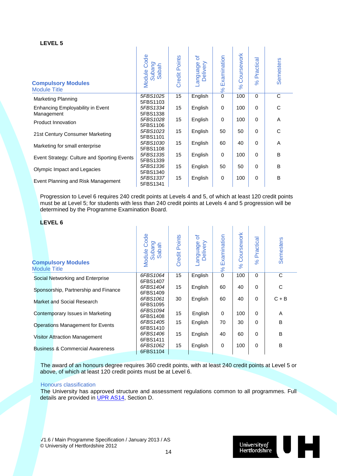| <b>Compulsory Modules</b><br><b>Module Title</b> | Module Code<br>Subang<br>Sabah | <b>Credit Points</b> | đ<br>Language<br>Delivery | Examination<br>$\frac{8}{5}$ | Coursework<br>$\aleph$ | Practical<br>$\aleph$ | <b>Semesters</b> |
|--------------------------------------------------|--------------------------------|----------------------|---------------------------|------------------------------|------------------------|-----------------------|------------------|
| <b>Marketing Planning</b>                        | 5FBS1025<br>5FBS1103           | 15                   | English                   | $\mathbf 0$                  | 100                    | $\Omega$              | $\mathsf{C}$     |
| Enhancing Employability in Event<br>Management   | 5FBS1334<br>5FBS1338           | 15                   | English                   | $\mathbf 0$                  | 100                    | $\Omega$              | C                |
| Product Innovation                               | 5FBS1028<br>5FBS1106           | 15                   | English                   | 0                            | 100                    | $\Omega$              | A                |
| 21st Century Consumer Marketing                  | 5FBS1023<br>5FBS1101           | 15                   | English                   | 50                           | 50                     | $\mathbf 0$           | C                |
| Marketing for small enterprise                   | 5FBS1030<br>5FBS1108           | 15                   | English                   | 60                           | 40                     | 0                     | A                |
| Event Strategy: Culture and Sporting Events      | 5FBS1335<br>5FBS1339           | 15                   | English                   | $\mathbf 0$                  | 100                    | $\Omega$              | B                |
| Olympic Impact and Legacies                      | 5FBS1336<br>5FBS1340           | 15                   | English                   | 50                           | 50                     | $\Omega$              | B                |
| Event Planning and Risk Management               | 5FBS1337<br>5FBS1341           | 15                   | English                   | 0                            | 100                    | $\Omega$              | B                |

Progression to Level 6 requires 240 credit points at Levels 4 and 5, of which at least 120 credit points must be at Level 5; for students with less than 240 credit points at Levels 4 and 5 progression will be determined by the Programme Examination Board.

#### **LEVEL 6**

| <b>Compulsory Modules</b><br><b>Module Title</b> | Code<br>Subang<br>Sabah<br>Module | <b>Credit Points</b> | ৳<br>-anguage<br>Delivery | Examination<br>$\frac{8}{6}$ | Coursework<br>$\aleph$ | Practical<br>$\aleph$ | Semesters |
|--------------------------------------------------|-----------------------------------|----------------------|---------------------------|------------------------------|------------------------|-----------------------|-----------|
| Social Networking and Enterprise                 | 6FBS1064<br>6FBS1407              | 15 <sup>15</sup>     | English                   | $\mathbf 0$                  | 100                    | $\Omega$              | C         |
| Sponsorship, Partnership and Finance             | 6FBS1404<br>6FBS1409              | 15                   | English                   | 60                           | 40                     | $\Omega$              | С         |
| Market and Social Research                       | 6FBS1061<br>6FBS1095              | 30                   | English                   | 60                           | 40                     | $\Omega$              | $C + B$   |
| Contemporary Issues in Marketing                 | 6FBS1094<br>6FBS1408              | 15                   | English                   | $\mathbf 0$                  | 100                    | $\Omega$              | A         |
| Operations Management for Events                 | 6FBS1405<br>6FBS1410              | 15                   | English                   | 70                           | 30                     | $\Omega$              | B         |
| <b>Visitor Attraction Management</b>             | 6FBS1406<br>6FBS1411              | 15                   | English                   | 40                           | 60                     | $\Omega$              | B         |
| <b>Business &amp; Commercial Awareness</b>       | 6FBS1062<br>6FBS1104              | 15 <sup>15</sup>     | English                   | $\mathbf 0$                  | 100                    | $\Omega$              | B         |

The award of an honours degree requires 360 credit points, with at least 240 credit points at Level 5 or above, of which at least 120 credit points must be at Level 6.

#### Honours classification

The University has approved structure and assessment regulations common to all programmes. Full details are provided in [UPR AS14,](http://sitem.herts.ac.uk/secreg/upr/pdf/AS14-Structure%20and%20Assessment%20Regs%20-%20Undergrad%20and%20Taught%20Postgrad%20Programmes-v04%200.pdf) Section D.

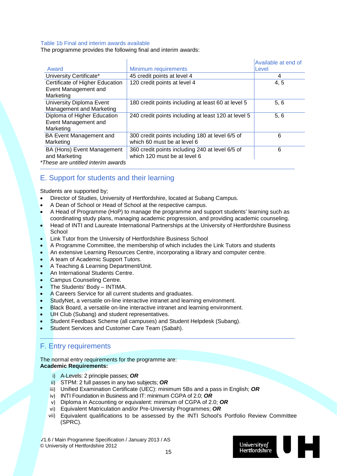#### Table 1b Final and interim awards available

The programme provides the following final and interim awards:

|                                    |                                                     | Available at end of |
|------------------------------------|-----------------------------------------------------|---------------------|
| Award                              | Minimum requirements                                | Level               |
| University Certificate*            | 45 credit points at level 4                         | 4                   |
| Certificate of Higher Education    | 120 credit points at level 4                        | 4, 5                |
| Event Management and               |                                                     |                     |
| Marketing                          |                                                     |                     |
| University Diploma Event           | 180 credit points including at least 60 at level 5  | 5, 6                |
| Management and Marketing           |                                                     |                     |
| Diploma of Higher Education        | 240 credit points including at least 120 at level 5 | 5, 6                |
| Event Management and               |                                                     |                     |
| Marketing                          |                                                     |                     |
| <b>BA Event Management and</b>     | 300 credit points including 180 at level 6/5 of     | 6                   |
| Marketing                          | which 60 must be at level 6                         |                     |
| <b>BA (Hons) Event Management</b>  | 360 credit points including 240 at level 6/5 of     | 6                   |
| and Marketing                      | which 120 must be at level 6                        |                     |
| 'These are untitled interim awards |                                                     |                     |

*\*These are untitled interim awards*

#### E. Support for students and their learning

Students are supported by;

- Director of Studies, University of Hertfordshire, located at Subang Campus.
- A Dean of School or Head of School at the respective campus.
- A Head of Programme (HoP) to manage the programme and support students' learning such as coordinating study plans, managing academic progression, and providing academic counseling.
- Head of INTI and Laureate International Partnerships at the University of Hertfordshire Business **School**
- Link Tutor from the University of Hertfordshire Business School
- A Programme Committee, the membership of which includes the Link Tutors and students
- An extensive Learning Resources Centre, incorporating a library and computer centre.
- A team of Academic Support Tutors.
- A Teaching & Learning Department/Unit.
- An International Students Centre.
- Campus Counseling Centre.
- The Students' Body INTIMA.
- A Careers Service for all current students and graduates.
- StudyNet, a versatile on-line interactive intranet and learning environment.
- Black Board, a versatile on-line interactive intranet and learning environment.
- UH Club (Subang) and student representatives.
- Student Feedback Scheme (all campuses) and Student Helpdesk (Subang).
- Student Services and Customer Care Team (Sabah).

### F. Entry requirements

#### The normal entry requirements for the programme are: **Academic Requirements:**

- i) A-Levels: 2 principle passes; *OR*
- ii) STPM: 2 full passes in any two subjects; *OR*
- iii) Unified Examination Certificate (UEC): minimum 5Bs and a pass in English; *OR*
- iv) INTI Foundation in Business and IT: minimum CGPA of 2.0; *OR*
- v) Diploma in Accounting or equivalent: minimum of CGPA of 2.0; *OR*
- vi) Equivalent Matriculation and/or Pre-University Programmes; *OR*
- vii) Equivalent qualifications to be assessed by the INTI School's Portfolio Review Committee (SPRC).

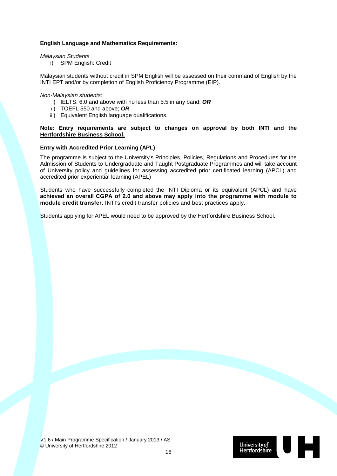#### **English Language and Mathematics Requirements:**

#### *Malaysian Students*

i) SPM English: Credit

Malaysian students without credit in SPM English will be assessed on their command of English by the INTI EPT and/or by completion of English Proficiency Programme (EIP).

#### *Non-Malaysian students:*

- i) IELTS: 6.0 and above with no less than 5.5 in any band; *OR*
- ii) TOEFL 550 and above; *OR*
- iii) Equivalent English language qualifications.

#### **Note: Entry requirements are subject to changes on approval by both INTI and the Hertfordshire Business School.**

#### **Entry with Accredited Prior Learning (APL)**

The programme is subject to the University's Principles, Policies, Regulations and Procedures for the Admission of Students to Undergraduate and Taught Postgraduate Programmes and will take account of University policy and guidelines for assessing accredited prior certificated learning (APCL) and accredited prior experiential learning (APEL)

Students who have successfully completed the INTI Diploma or its equivalent (APCL) and have **achieved an overall CGPA of 2.0 and above may apply into the programme with module to module credit transfer.** INTI's credit transfer policies and best practices apply.

Students applying for APEL would need to be approved by the Hertfordshire Business School.

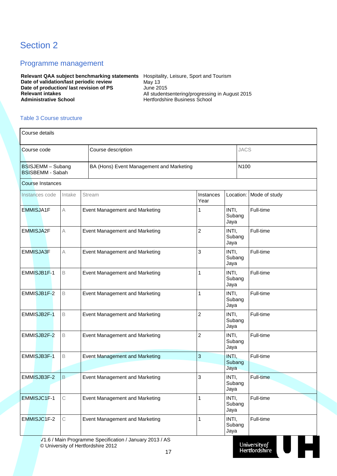## Section 2

#### Programme management

**Relevant QAA subject benchmarking statements** Hospitality, Leisure, Sport and Tourism **Date of validation/last periodic review Fig. 13** May 13 **Date of production/ last revision of PS** June 2015<br>Relevant intakes All students **Relevant intakes**<br> **All studentsentering/progressing in August 2015**<br> **Administrative School**<br> **Administrative School**<br> **Administrative School** 

**Administrative School** Hertfordshire Business School

#### Table 3 Course structure

| Course details                               |        |                                          |                   |                         |               |
|----------------------------------------------|--------|------------------------------------------|-------------------|-------------------------|---------------|
| Course code                                  |        | Course description                       |                   | <b>JACS</b>             |               |
| BSISJEMM - Subang<br><b>BSISBEMM - Sabah</b> |        | BA (Hons) Event Management and Marketing |                   | N100                    |               |
| Course Instances                             |        |                                          |                   |                         |               |
| Instances code                               | Intake | Stream                                   | Instances<br>Year | Location:               | Mode of study |
| <b>EMMISJA1F</b>                             | А      | Event Management and Marketing           | 1                 | INTI,<br>Subang<br>Jaya | Full-time     |
| <b>EMMISJA2F</b>                             | A      | Event Management and Marketing           | $\overline{c}$    | INTI,<br>Subang<br>Jaya | Full-time     |
| <b>EMMISJA3F</b>                             | A      | <b>Event Management and Marketing</b>    | 3                 | INTI,<br>Subang<br>Jaya | Full-time     |
| EMMISJB1F-1                                  | B      | Event Management and Marketing           | 1                 | INTI,<br>Subang<br>Jaya | Full-time     |
| EMMISJB1F-2                                  | B      | Event Management and Marketing           | $\mathbf{1}$      | INTI,<br>Subang<br>Jaya | Full-time     |
| EMMISJB2F-1                                  | B      | Event Management and Marketing           | $\overline{2}$    | INTI,<br>Subang<br>Jaya | Full-time     |
| EMMISJB2F-2                                  | B      | Event Management and Marketing           | $\overline{c}$    | INTI,<br>Subang<br>Jaya | Full-time     |
| EMMISJB3F-1                                  | B      | Event Management and Marketing           | 3                 | INTI,<br>Subang<br>Jaya | Full-time     |
| EMMISJB3F-2                                  | B      | Event Management and Marketing           | 3                 | INTI,<br>Subang<br>Jaya | Full-time     |
| EMMISJC1F-1                                  | C      | Event Management and Marketing           | 1                 | INTI,<br>Subang<br>Jaya | Full-time     |
| EMMISJC1F-2                                  | С      | Event Management and Marketing           | 1                 | INTI,<br>Subang<br>Jaya | Full-time     |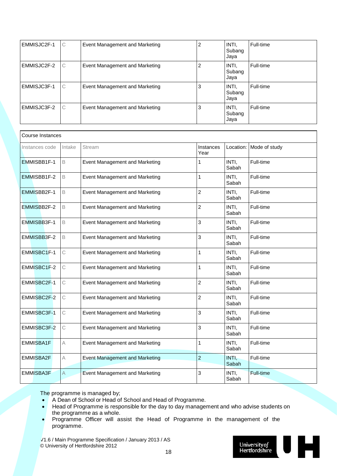| EMMISJC2F-1 | C | Event Management and Marketing | 2 | INTI.<br>Subang<br>Jaya | Full-time |
|-------------|---|--------------------------------|---|-------------------------|-----------|
| EMMISJC2F-2 | C | Event Management and Marketing | 2 | INTI,<br>Subang<br>Jaya | Full-time |
| EMMISJC3F-1 | C | Event Management and Marketing | 3 | INTI.<br>Subang<br>Jaya | Full-time |
| EMMISJC3F-2 | C | Event Management and Marketing | 3 | INTI.<br>Subang<br>Jaya | Full-time |

| <b>Course Instances</b>  |   |                                       |                   |                |               |
|--------------------------|---|---------------------------------------|-------------------|----------------|---------------|
| Instances code<br>Intake |   | Stream                                | Instances<br>Year | Location:      | Mode of study |
| EMMISBB1F-1              | B | Event Management and Marketing        | 1                 | INTI,<br>Sabah | Full-time     |
| EMMISBB1F-2              | B | Event Management and Marketing        | 1                 | INTI,<br>Sabah | Full-time     |
| EMMISBB2F-1              | B | Event Management and Marketing        | $\overline{c}$    | INTI,<br>Sabah | Full-time     |
| EMMISBB2F-2              | B | Event Management and Marketing        | $\overline{2}$    | INTI,<br>Sabah | Full-time     |
| EMMISBB3F-1              | B | Event Management and Marketing        | 3                 | INTI,<br>Sabah | Full-time     |
| EMMISBB3F-2              | B | Event Management and Marketing        | 3                 | INTI,<br>Sabah | Full-time     |
| EMMISBC1F-1              | C | Event Management and Marketing        | 1                 | INTI,<br>Sabah | Full-time     |
| EMMISBC1F-2              | C | Event Management and Marketing        | 1                 | INTI,<br>Sabah | Full-time     |
| EMMISBC2F-1              | C | Event Management and Marketing        | $\overline{2}$    | INTI,<br>Sabah | Full-time     |
| EMMISBC2F-2              | C | Event Management and Marketing        | $\overline{2}$    | INTI,<br>Sabah | Full-time     |
| EMMISBC3F-1              | C | Event Management and Marketing        | 3                 | INTI,<br>Sabah | Full-time     |
| EMMISBC3F-2              | C | Event Management and Marketing        | 3                 | INTI,<br>Sabah | Full-time     |
| <b>EMMISBA1F</b>         | A | Event Management and Marketing        | 1                 | INTI,<br>Sabah | Full-time     |
| EMMISBA2F                | А | <b>Event Management and Marketing</b> | $\overline{2}$    | INTI,<br>Sabah | Full-time     |
| <b>EMMISBA3F</b>         | A | <b>Event Management and Marketing</b> | 3                 | INTI,<br>Sabah | Full-time     |

The programme is managed by;

- A Dean of School or Head of School and Head of Programme.
- Head of Programme is responsible for the day to day management and who advise students on the programme as a whole.
- Programme Officer will assist the Head of Programme in the management of the programme.

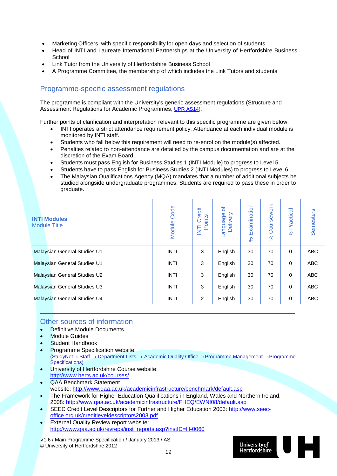- Marketing Officers, with specific responsibility for open days and selection of students.
- Head of INTI and Laureate International Partnerships at the University of Hertfordshire Business **School**
- Link Tutor from the University of Hertfordshire Business School
- A Programme Committee, the membership of which includes the Link Tutors and students

#### Programme-specific assessment regulations

The programme is compliant with the University's generic assessment regulations (Structure and Assessment Regulations for Academic Programmes, [UPR AS14\)](http://sitem.herts.ac.uk/secreg/upr/AS14.htm).

Further points of clarification and interpretation relevant to this specific programme are given below:

- INTI operates a strict attendance requirement policy. Attendance at each individual module is monitored by INTI staff.
- Students who fall below this requirement will need to re-enrol on the module(s) affected.
- Penalties related to non-attendance are detailed by the campus documentation and are at the discretion of the Exam Board.
- Students must pass English for Business Studies 1 (INTI Module) to progress to Level 5.
- Students have to pass English for Business Studies 2 (INTI Modules) to progress to Level 6
- The Malaysian Qualifications Agency (MQA) mandates that a number of additional subjects be studied alongside undergraduate programmes. Students are required to pass these in order to graduate.

| <b>INTI Modules</b><br><b>Module Title</b> | Code<br>Module | redit<br>ints<br>$\circ$<br>$\circ$<br>Ξ <sub>σ</sub> | ৳<br>ebenbue<br>Delivery | Examination<br>$\aleph$ | Coursework<br>ಸ | Practical<br>$\aleph$ | Semesters  |  |  |
|--------------------------------------------|----------------|-------------------------------------------------------|--------------------------|-------------------------|-----------------|-----------------------|------------|--|--|
| Malaysian General Studies U1               | <b>INTI</b>    | 3                                                     | English                  | 30                      | 70              | $\mathbf 0$           | <b>ABC</b> |  |  |
| <b>Malaysian General Studies U1</b>        | <b>INTI</b>    | 3                                                     | English                  | 30                      | 70              | 0                     | <b>ABC</b> |  |  |
| Malaysian General Studies U2               | <b>INTI</b>    | 3                                                     | English                  | 30                      | 70              | $\Omega$              | <b>ABC</b> |  |  |
| Malaysian General Studies U3               | <b>INTI</b>    | 3                                                     | English                  | 30                      | 70              | 0                     | <b>ABC</b> |  |  |
| <b>Malaysian General Studies U4</b>        | <b>INTI</b>    | 2                                                     | English                  | 30                      | 70              | $\mathbf 0$           | <b>ABC</b> |  |  |

#### Other sources of information

- Definitive Module Documents
- **Module Guides**
- **Student Handbook**
- Programme Specification website: (StudyNet→ Staff → Department Lists → Academic Quality Office →Programme Management →Programme Specifications)
- University of Hertfordshire Course website: <http://www.herts.ac.uk/courses/>
- QAA Benchmark Statement website:<http://www.qaa.ac.uk/academicinfrastructure/benchmark/default.asp>
- The Framework for Higher Education Qualifications in England, Wales and Northern Ireland, 2008:<http://www.qaa.ac.uk/academicinfrastructure/FHEQ/EWNI08/default.asp>
- SEEC Credit Level Descriptors for Further and Higher Education 2003: [http://www.seec](http://www.seec-office.org.uk/creditleveldescriptors2003.pdf)[office.org.uk/creditleveldescriptors2003.pdf](http://www.seec-office.org.uk/creditleveldescriptors2003.pdf)
- External Quality Review report website: [http://www.qaa.ac.uk/revreps/inst\\_reports.asp?instID=H-0060](http://www.qaa.ac.uk/revreps/inst_reports.asp?instID=H-0060)

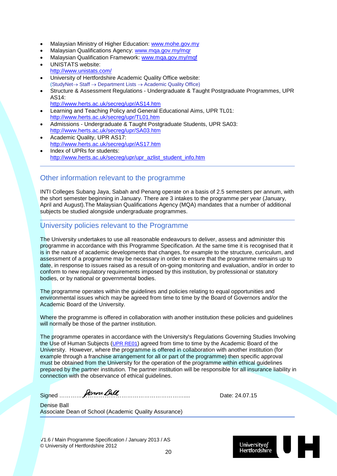- Malaysian Ministry of Higher Education: [www.mohe.gov.my](http://www.mohe.gov.my/)
- Malaysian Qualifications Agency: www.mga.gov.my/mgr
- Malaysian Qualification Framework: www.mga.gov.my/mgf
- UNISTATS website: <http://www.unistats.com/>
- University of Hertfordshire Academic Quality Office website: (StudyNet→ Staff → Department Lists → Academic Quality Office)
- Structure & Assessment Regulations Undergraduate & Taught Postgraduate Programmes, UPR  $AS14$ 
	- <http://www.herts.ac.uk/secreg/upr/AS14.htm>
- Learning and Teaching Policy and General Educational Aims, UPR TL01: <http://www.herts.ac.uk/secreg/upr/TL01.htm>
- Admissions Undergraduate & Taught Postgraduate Students, UPR SA03: <http://www.herts.ac.uk/secreg/upr/SA03.htm>
- Academic Quality, UPR AS17: <http://www.herts.ac.uk/secreg/upr/AS17.htm>
- Index of UPRs for students: [http://www.herts.ac.uk/secreg/upr/upr\\_azlist\\_student\\_info.htm](http://www.herts.ac.uk/secreg/upr/upr_azlist_student_info.htm)

#### Other information relevant to the programme

INTI Colleges Subang Jaya, Sabah and Penang operate on a basis of 2.5 semesters per annum, with the short semester beginning in January. There are 3 intakes to the programme per year (January, April and August).The Malaysian Qualifications Agency (MQA) mandates that a number of additional subjects be studied alongside undergraduate programmes.

#### University policies relevant to the Programme

The University undertakes to use all reasonable endeavours to deliver, assess and administer this programme in accordance with this Programme Specification. At the same time it is recognised that it is in the nature of academic developments that changes, for example to the structure, curriculum, and assessment of a programme may be necessary in order to ensure that the programme remains up to date, in response to issues raised as a result of on-going monitoring and evaluation, and/or in order to conform to new regulatory requirements imposed by this institution, by professional or statutory bodies, or by national or governmental bodies.

The programme operates within the guidelines and policies relating to equal opportunities and environmental issues which may be agreed from time to time by the Board of Governors and/or the Academic Board of the University.

Where the programme is offered in collaboration with another institution these policies and guidelines will normally be those of the partner institution.

The programme operates in accordance with the University's Regulations Governing Studies Involving the Use of Human Subjects [\(UPR RE01\)](http://sitem.herts.ac.uk/secreg/upr/RE01.htm) agreed from time to time by the Academic Board of the University. However, where the programme is offered in collaboration with another institution (for example through a franchise arrangement for all or part of the programme) then specific approval must be obtained from the University for the operation of the programme within ethical guidelines prepared by the partner institution. The partner institution will be responsible for all insurance liability in connection with the observance of ethical guidelines.

Signed **Elections State Ball** 

Denise Ball Associate Dean of School (Academic Quality Assurance)

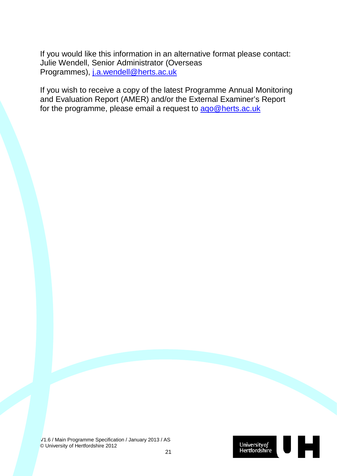If you would like this information in an alternative format please contact: Julie Wendell, Senior Administrator (Overseas Programmes), [j.a.wendell@herts.ac.uk](mailto:J.A.Wendell@herts.ac.uk)

If you wish to receive a copy of the latest Programme Annual Monitoring and Evaluation Report (AMER) and/or the External Examiner's Report for the programme, please email a request to [aqo@herts.ac.uk](mailto:aqo@herts.ac.uk)

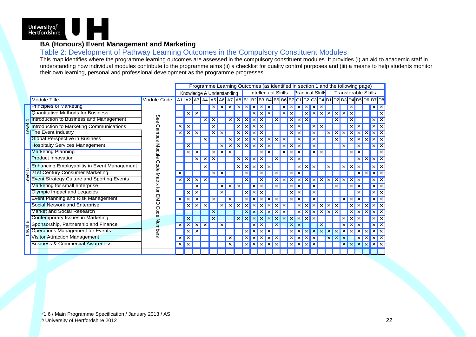

#### **BA (Honours) Event Management and Marketing**

#### Table 2: Development of Pathway Learning Outcomes in the Compulsory Constituent Modules

This map identifies where the programme learning outcomes are assessed in the compulsory constituent modules. It provides (i) an aid to academic staff in understanding how individual modules contribute to the programme aims (ii) a checklist for quality control purposes and (iii) a means to help students monitor their own learning, personal and professional development as the programme progresses.

|                         |                                             |                              |                           | Programme Learning Outcomes (as identified in section 1 and the following page) |          |          |                                                         |                                                                                                                                      |  |   |   |          |  |   |          |          |                        |   |                            |          |  |          |          |          |  |          |  |          |                        |     |          |          |     |  |  |            |  |            |  |  |  |  |  |   |
|-------------------------|---------------------------------------------|------------------------------|---------------------------|---------------------------------------------------------------------------------|----------|----------|---------------------------------------------------------|--------------------------------------------------------------------------------------------------------------------------------------|--|---|---|----------|--|---|----------|----------|------------------------|---|----------------------------|----------|--|----------|----------|----------|--|----------|--|----------|------------------------|-----|----------|----------|-----|--|--|------------|--|------------|--|--|--|--|--|---|
|                         |                                             |                              |                           |                                                                                 |          |          | <b>Intellectual Skills</b><br>Knowledge & Understanding |                                                                                                                                      |  |   |   |          |  |   |          |          | <b>Practical Skill</b> |   | <b>Transferable Skills</b> |          |  |          |          |          |  |          |  |          |                        |     |          |          |     |  |  |            |  |            |  |  |  |  |  |   |
|                         | Module Title                                | Module Code                  |                           |                                                                                 |          |          |                                                         | A1   A2   A3   A4   A5   A6   A7   A8   B1   B2   B3   B4   B5   B6   B7   C1   C2   C3   C4   D1   D2   D3   D4   D5   D6   D7   D8 |  |   |   |          |  |   |          |          |                        |   |                            |          |  |          |          |          |  |          |  |          |                        |     |          |          |     |  |  |            |  |            |  |  |  |  |  |   |
|                         | <b>Principles of Marketing</b>              |                              |                           |                                                                                 |          |          | ×                                                       | $\times$                                                                                                                             |  |   |   | ×        |  |   |          |          |                        |   |                            |          |  |          |          |          |  |          |  | ×        | $\mathsf{I}\mathsf{x}$ |     |          |          |     |  |  |            |  |            |  |  |  |  |  |   |
|                         | Quantitative Methods for Business           |                              |                           |                                                                                 |          |          |                                                         |                                                                                                                                      |  |   |   |          |  |   |          |          |                        |   |                            |          |  |          |          |          |  |          |  |          | ×                      |     |          |          |     |  |  |            |  |            |  |  |  |  |  |   |
|                         | Introduction to Business and Management     | See                          |                           |                                                                                 |          |          |                                                         |                                                                                                                                      |  |   |   |          |  |   |          |          |                        |   |                            |          |  |          |          |          |  |          |  | ×        | l x                    |     |          |          |     |  |  |            |  |            |  |  |  |  |  |   |
|                         | Introduction to Marketing Communications    |                              | $\times$                  |                                                                                 |          |          |                                                         |                                                                                                                                      |  |   |   |          |  |   |          |          |                        |   |                            |          |  |          |          |          |  |          |  | $\times$ | l x                    |     |          |          |     |  |  |            |  |            |  |  |  |  |  |   |
|                         | The Event Industry                          |                              | $\times$                  | $\times$                                                                        |          |          |                                                         |                                                                                                                                      |  |   |   |          |  |   |          |          |                        |   |                            |          |  |          |          |          |  |          |  |          | $\times$ $\times$      |     |          |          |     |  |  |            |  |            |  |  |  |  |  |   |
|                         | <b>Global Perspective in Business</b>       | Campus                       |                           |                                                                                 |          |          |                                                         |                                                                                                                                      |  |   |   |          |  |   |          |          |                        |   |                            |          |  |          |          |          |  |          |  |          |                        |     | $\times$ |          |     |  |  |            |  |            |  |  |  |  |  |   |
|                         | <b>Hospitalty Services Management</b>       | Module<br>Code<br>Matrix for |                           |                                                                                 |          |          |                                                         |                                                                                                                                      |  |   |   |          |  |   |          |          |                        |   |                            |          |  |          |          |          |  |          |  |          | $\times$               |     |          |          |     |  |  |            |  |            |  |  |  |  |  |   |
|                         | <b>Marketing Planning</b>                   |                              |                           |                                                                                 |          |          |                                                         |                                                                                                                                      |  |   |   |          |  |   |          |          |                        |   | ×                          |          |  | ×        |          |          |  |          |  |          |                        |     |          |          |     |  |  |            |  |            |  |  |  |  |  | × |
|                         | <b>Product Innovation</b>                   |                              |                           |                                                                                 |          |          |                                                         |                                                                                                                                      |  |   |   |          |  |   |          |          |                        |   |                            |          |  |          |          |          |  |          |  |          |                        |     | $\times$ |          |     |  |  |            |  |            |  |  |  |  |  |   |
| ျဂ<br>$\overline{\Phi}$ | Enhancing Employabiltiy in Event Management |                              |                           |                                                                                 |          |          |                                                         |                                                                                                                                      |  | × |   |          |  | × | $\times$ | $\times$ | $\times$               |   |                            |          |  | $\times$ | $\times$ | $\times$ |  | $\times$ |  | $\times$ |                        |     |          | $\times$ | l x |  |  |            |  |            |  |  |  |  |  |   |
|                         | 21st Century Consumer Marketing             |                              |                           |                                                                                 |          |          |                                                         |                                                                                                                                      |  |   |   |          |  |   |          |          |                        |   |                            |          |  |          |          |          |  |          |  |          |                        |     | $\times$ |          |     |  |  |            |  |            |  |  |  |  |  |   |
| る                       | Event Strategy: Culture and Sporting Events |                              |                           | $\times$                                                                        | $\times$ | $\times$ | $\times$                                                |                                                                                                                                      |  |   |   |          |  |   |          |          |                        | × | ×                          | $\times$ |  | ×        |          | $\times$ |  | $\times$ |  |          | ×                      | l × |          |          |     |  |  |            |  |            |  |  |  |  |  |   |
|                         | Marketing for small enterprise              |                              |                           |                                                                                 |          |          |                                                         |                                                                                                                                      |  |   |   |          |  |   |          |          |                        |   |                            |          |  |          |          |          |  |          |  |          | $x \mid x$             |     |          |          |     |  |  |            |  |            |  |  |  |  |  |   |
|                         | Olympic Impact and Legacies                 |                              |                           |                                                                                 |          |          | <b>DND</b>                                              |                                                                                                                                      |  |   | × | $\times$ |  |   |          |          |                        |   |                            |          |  |          |          | ×        |  |          |  |          |                        |     |          |          |     |  |  | $x \mid x$ |  |            |  |  |  |  |  |   |
|                         | <b>Event Planning and Risk Management</b>   |                              |                           |                                                                                 |          |          |                                                         |                                                                                                                                      |  |   |   | $\times$ |  |   |          |          |                        |   |                            |          |  |          |          |          |  |          |  |          |                        |     |          |          |     |  |  |            |  | $x \mid x$ |  |  |  |  |  |   |
|                         | <b>Social Network and Enterprise</b>        |                              |                           | $\times$                                                                        |          |          |                                                         |                                                                                                                                      |  |   |   |          |  |   |          |          |                        |   |                            |          |  |          |          |          |  |          |  |          | $\mathsf{I}\mathsf{x}$ |     |          |          |     |  |  |            |  |            |  |  |  |  |  |   |
|                         | Market and Social Research                  | Code                         |                           |                                                                                 |          |          |                                                         |                                                                                                                                      |  |   |   |          |  |   |          |          |                        |   |                            |          |  |          |          |          |  |          |  |          | $\times$               |     |          |          |     |  |  |            |  |            |  |  |  |  |  |   |
|                         | Contemporary Issues in Marketing            |                              |                           |                                                                                 |          |          |                                                         |                                                                                                                                      |  |   |   |          |  |   |          |          |                        |   |                            |          |  |          |          |          |  |          |  | ×        | $\mathsf{X}$           |     |          |          |     |  |  |            |  |            |  |  |  |  |  |   |
| ဖြ                      | Sponsorship, Partnership and Finance        | Numbers                      | $\boldsymbol{\mathsf{x}}$ |                                                                                 |          |          |                                                         |                                                                                                                                      |  |   |   |          |  |   |          |          |                        |   |                            |          |  |          |          |          |  |          |  | $\times$ | l ×                    |     |          |          |     |  |  |            |  |            |  |  |  |  |  |   |
| evel                    | <b>Operations Management for Events</b>     |                              |                           | ×                                                                               |          |          |                                                         |                                                                                                                                      |  |   |   |          |  |   |          |          |                        |   |                            |          |  |          |          |          |  |          |  |          | $\mathsf{I}\mathsf{x}$ |     |          |          |     |  |  |            |  |            |  |  |  |  |  |   |
|                         | Visitor Attraction Management               |                              | $\times$                  | $\times$                                                                        |          |          |                                                         |                                                                                                                                      |  |   |   |          |  |   |          |          |                        |   |                            |          |  |          |          |          |  |          |  |          | $\times$               |     |          |          |     |  |  |            |  |            |  |  |  |  |  |   |
|                         | <b>Business &amp; Commercial Awareness</b>  |                              | $\times$                  | $\times$                                                                        |          |          |                                                         |                                                                                                                                      |  |   |   |          |  |   |          |          |                        |   |                            |          |  |          |          |          |  |          |  |          | $\times$               |     |          |          |     |  |  |            |  |            |  |  |  |  |  |   |
|                         |                                             |                              |                           |                                                                                 |          |          |                                                         |                                                                                                                                      |  |   |   |          |  |   |          |          |                        |   |                            |          |  |          |          |          |  |          |  |          |                        |     |          |          |     |  |  |            |  |            |  |  |  |  |  |   |